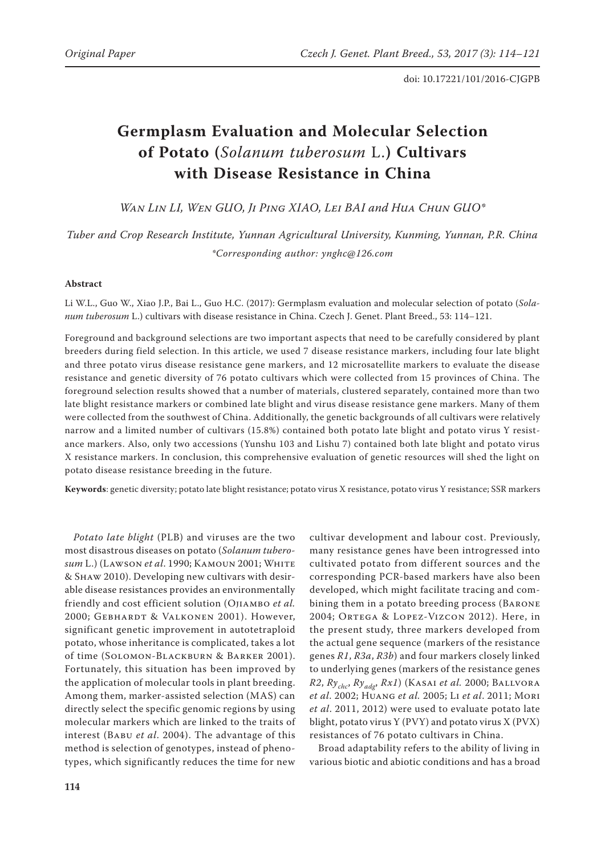# **Germplasm Evaluation and Molecular Selection of Potato (***Solanum tuberosum* L.**) Cultivars with Disease Resistance in China**

*Wan Lin LI, Wen GUO, Ji Ping XIAO, Lei BAI and Hua Chun GUO\** 

*Tuber and Crop Research Institute, Yunnan Agricultural University, Kunming, Yunnan, P.R. China \*Corresponding author: ynghc@126.com*

## **Abstract**

Li W.L., Guo W., Xiao J.P., Bai L., Guo H.C. (2017): Germplasm evaluation and molecular selection of potato (*Solanum tuberosum* L.) cultivars with disease resistance in China. Czech J. Genet. Plant Breed., 53: 114−121.

Foreground and background selections are two important aspects that need to be carefully considered by plant breeders during field selection. In this article, we used 7 disease resistance markers, including four late blight and three potato virus disease resistance gene markers, and 12 microsatellite markers to evaluate the disease resistance and genetic diversity of 76 potato cultivars which were collected from 15 provinces of China. The foreground selection results showed that a number of materials, clustered separately, contained more than two late blight resistance markers or combined late blight and virus disease resistance gene markers. Many of them were collected from the southwest of China. Additionally, the genetic backgrounds of all cultivars were relatively narrow and a limited number of cultivars (15.8%) contained both potato late blight and potato virus Y resistance markers. Also, only two accessions (Yunshu 103 and Lishu 7) contained both late blight and potato virus X resistance markers. In conclusion, this comprehensive evaluation of genetic resources will shed the light on potato disease resistance breeding in the future.

**Keywords**: genetic diversity; potato late blight resistance; potato virus X resistance, potato virus Y resistance; SSR markers

*Potato late blight* (PLB) and viruses are the two most disastrous diseases on potato (*Solanum tuberosum* L.) (Lawson *et al*. 1990; Kamoun 2001; White & Shaw 2010). Developing new cultivars with desirable disease resistances provides an environmentally friendly and cost efficient solution (Ojiambo *et al.*  2000; Gebhardt & Valkonen 2001). However, significant genetic improvement in autotetraploid potato, whose inheritance is complicated, takes a lot of time (Solomon-Blackburn & Barker 2001). Fortunately, this situation has been improved by the application of molecular tools in plant breeding. Among them, marker-assisted selection (MAS) can directly select the specific genomic regions by using molecular markers which are linked to the traits of interest (Babu *et al*. 2004). The advantage of this method is selection of genotypes, instead of phenotypes, which significantly reduces the time for new

cultivar development and labour cost. Previously, many resistance genes have been introgressed into cultivated potato from different sources and the corresponding PCR-based markers have also been developed, which might facilitate tracing and combining them in a potato breeding process (Barone 2004; Ortega & Lopez-Vizcon 2012). Here, in the present study, three markers developed from the actual gene sequence (markers of the resistance genes *R1*, *R3a*, *R3b*) and four markers closely linked to underlying genes (markers of the resistance genes *R2*, *Rychc*, *Ryadg*, *Rx1*) (Kasai *et al.* 2000; Ballvora *et al*. 2002; Huang *et al.* 2005; Li *et al*. 2011; Mori *et al*. 2011, 2012) were used to evaluate potato late blight, potato virus Y (PVY) and potato virus  $X$  (PVX) resistances of 76 potato cultivars in China.

Broad adaptability refers to the ability of living in various biotic and abiotic conditions and has a broad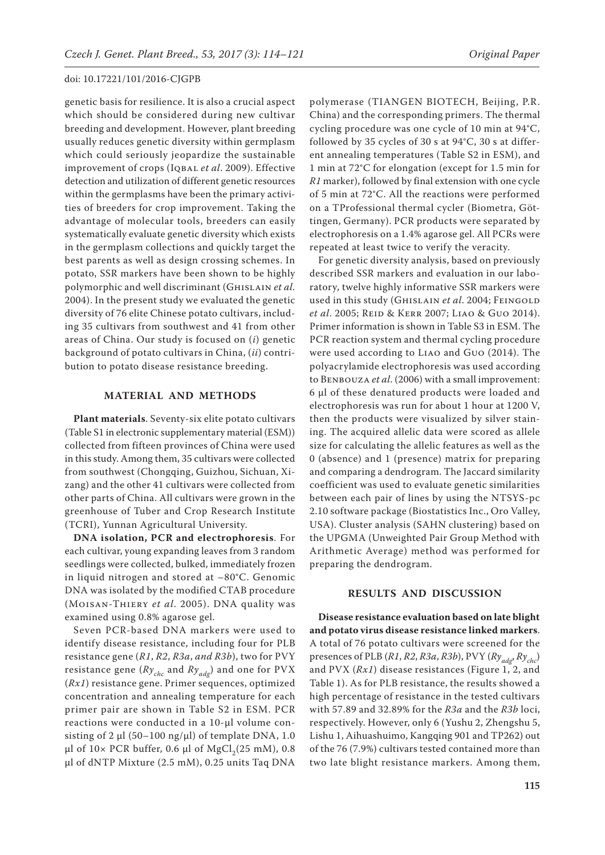genetic basis for resilience. It is also a crucial aspect which should be considered during new cultivar breeding and development. However, plant breeding usually reduces genetic diversity within germplasm which could seriously jeopardize the sustainable improvement of crops (Iqbal *et al*. 2009). Effective detection and utilization of different genetic resources within the germplasms have been the primary activities of breeders for crop improvement. Taking the advantage of molecular tools, breeders can easily systematically evaluate genetic diversity which exists in the germplasm collections and quickly target the best parents as well as design crossing schemes. In potato, SSR markers have been shown to be highly polymorphic and well discriminant (Ghislain *et al.* 2004). In the present study we evaluated the genetic diversity of 76 elite Chinese potato cultivars, including 35 cultivars from southwest and 41 from other areas of China. Our study is focused on (*i*) genetic background of potato cultivars in China, (*ii*) contribution to potato disease resistance breeding.

## **MATERIAL AND METHODS**

**Plant materials**. Seventy-six elite potato cultivars [\(Table S1](http://www.agriculturejournals.cz/uniqueFiles/218974.pdf) in electronic supplementary material (ESM)) collected from fifteen provinces of China were used in this study. Among them, 35 cultivars were collected from southwest (Chongqing, Guizhou, Sichuan, Xizang) and the other 41 cultivars were collected from other parts of China. All cultivars were grown in the greenhouse of Tuber and Crop Research Institute (TCRI), Yunnan Agricultural University.

**DNA isolation, PCR and electrophoresis**. For each cultivar, young expanding leaves from 3 random seedlings were collected, bulked, immediately frozen in liquid nitrogen and stored at –80°C. Genomic DNA was isolated by the modified CTAB procedure (Moisan-Thiery *et al*. 2005). DNA quality was examined using 0.8% agarose gel.

Seven PCR-based DNA markers were used to identify disease resistance, including four for PLB resistance gene (*R1*, *R2*, *R3a*, *and R3b*), two for PVY resistance gene ( $Ry_{chc}$  and  $Ry_{adg}$ ) and one for PVX (*Rx1*) resistance gene. Primer sequences, optimized concentration and annealing temperature for each primer pair are shown in [Table S2](http://www.agriculturejournals.cz/uniqueFiles/218974.pdf) in ESM. PCR reactions were conducted in a 10-μl volume consisting of 2  $\mu$ l (50–100 ng/ $\mu$ l) of template DNA, 1.0 μl of  $10 \times$  PCR buffer, 0.6 μl of MgCl<sub>2</sub>(25 mM), 0.8 μl of dNTP Mixture (2.5 mM), 0.25 units Taq DNA

polymerase (TIANGEN BIOTECH, Beijing, P.R. China) and the corresponding primers. The thermal cycling procedure was one cycle of 10 min at 94°C, followed by 35 cycles of 30 s at 94°C, 30 s at different annealing temperatures ([Table S2](http://www.agriculturejournals.cz/uniqueFiles/218974.pdf) in ESM), and 1 min at 72°C for elongation (except for 1.5 min for *R1* marker), followed by final extension with one cycle of 5 min at 72°C. All the reactions were performed on a TProfessional thermal cycler (Biometra, Göttingen, Germany). PCR products were separated by electrophoresis on a 1.4% agarose gel. All PCRs were repeated at least twice to verify the veracity.

For genetic diversity analysis, based on previously described SSR markers and evaluation in our laboratory, twelve highly informative SSR markers were used in this study (Ghislain *et al*. 2004; Feingold *et al*. 2005; Reid & Kerr 2007; Liao & Guo 2014). Primer information is shown in [Table S3](http://www.agriculturejournals.cz/uniqueFiles/218974.pdf) in ESM. The PCR reaction system and thermal cycling procedure were used according to Liao and Guo (2014). The polyacrylamide electrophoresis was used according to BENBOUZA *et al.* (2006) with a small improvement: 6 μl of these denatured products were loaded and electrophoresis was run for about 1 hour at 1200 V, then the products were visualized by silver staining. The acquired allelic data were scored as allele size for calculating the allelic features as well as the 0 (absence) and 1 (presence) matrix for preparing and comparing a dendrogram. The Jaccard similarity coefficient was used to evaluate genetic similarities between each pair of lines by using the NTSYS-pc 2.10 software package (Biostatistics Inc., Oro Valley, USA). Cluster analysis (SAHN clustering) based on the UPGMA (Unweighted Pair Group Method with Arithmetic Average) method was performed for preparing the dendrogram.

# **RESULTS AND DISCUSSION**

**Disease resistance evaluation based on late blight and potato virus disease resistance linked markers**. A total of 76 potato cultivars were screened for the presences of PLB (*R1*, *R2*, *R3a*, *R3b*), PVY (*Ryadg*, *Rychc*) and PVX (*Rx1*) disease resistances (Figure 1, 2, and Table 1). As for PLB resistance, the results showed a high percentage of resistance in the tested cultivars with 57.89 and 32.89% for the *R3a* and the *R3b* loci, respectively. However, only 6 (Yushu 2, Zhengshu 5, Lishu 1, Aihuashuimo, Kangqing 901 and TP262) out of the 76 (7.9%) cultivars tested contained more than two late blight resistance markers. Among them,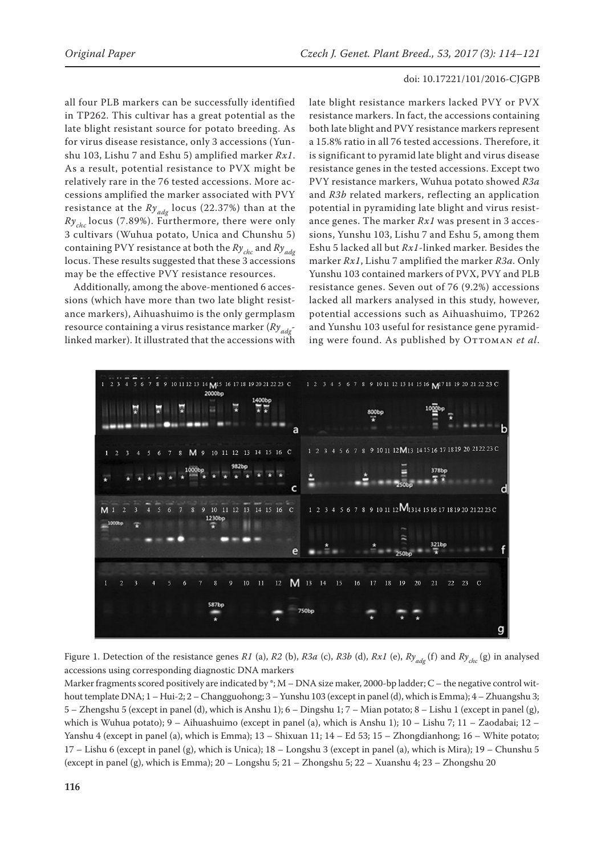all four PLB markers can be successfully identified in TP262. This cultivar has a great potential as the late blight resistant source for potato breeding. As for virus disease resistance, only 3 accessions (Yunshu 103, Lishu 7 and Eshu 5) amplified marker *Rx1*. As a result, potential resistance to PVX might be relatively rare in the 76 tested accessions. More accessions amplified the marker associated with PVY resistance at the  $Ry_{adg}$  locus (22.37%) than at the  $Ry_{chc}$  locus (7.89%). Furthermore, there were only 3 cultivars (Wuhua potato, Unica and Chunshu 5) containing PVY resistance at both the *Rychc* and *Ryadg* locus. These results suggested that these 3 accessions may be the effective PVY resistance resources.

Additionally, among the above-mentioned 6 accessions (which have more than two late blight resistance markers), Aihuashuimo is the only germplasm resource containing a virus resistance marker (*Ryadg*linked marker). It illustrated that the accessions with

late blight resistance markers lacked PVY or PVX resistance markers. In fact, the accessions containing both late blight and PVY resistance markers represent a 15.8% ratio in all 76 tested accessions. Therefore, it is significant to pyramid late blight and virus disease resistance genes in the tested accessions. Except two PVY resistance markers, Wuhua potato showed *R3a* and *R3b* related markers, reflecting an application potential in pyramiding late blight and virus resistance genes. The marker *Rx1* was present in 3 accessions, Yunshu 103, Lishu 7 and Eshu 5, among them Eshu 5 lacked all but *Rx1*-linked marker. Besides the marker *Rx1*, Lishu 7 amplified the marker *R3a.* Only Yunshu 103 contained markers of PVX, PVY and PLB resistance genes. Seven out of 76 (9.2%) accessions lacked all markers analysed in this study, however, potential accessions such as Aihuashuimo, TP262 and Yunshu 103 useful for resistance gene pyramiding were found. As published by OTTOMAN et al.



Figure 1. Detection of the resistance genes *R1* (a), *R2* (b), *R3a* (c), *R3b* (d), *Rx1* (e), *Ryadg* (f) and *Rychc* (g) in analysed accessions using corresponding diagnostic DNA markers

Marker fragments scored positively are indicated by \*;  $M - DNA$  size maker, 2000-bp ladder;  $C -$  the negative control without template DNA; 1 – Hui-2; 2 – Changguohong; 3 – Yunshu 103 (except in panel (d), which is Emma); 4 – Zhuangshu 3; 5 – Zhengshu 5 (except in panel (d), which is Anshu 1); 6 – Dingshu 1; 7 – Mian potato; 8 – Lishu 1 (except in panel (g), which is Wuhua potato); 9 – Aihuashuimo (except in panel (a), which is Anshu 1); 10 – Lishu 7; 11 – Zaodabai; 12 – Yanshu 4 (except in panel (a), which is Emma); 13 – Shixuan 11; 14 – Ed 53; 15 – Zhongdianhong; 16 – White potato; 17 – Lishu 6 (except in panel (g), which is Unica); 18 – Longshu 3 (except in panel (a), which is Mira); 19 – Chunshu 5 (except in panel (g), which is Emma); 20 – Longshu 5; 21 – Zhongshu 5; 22 – Xuanshu 4; 23 – Zhongshu 20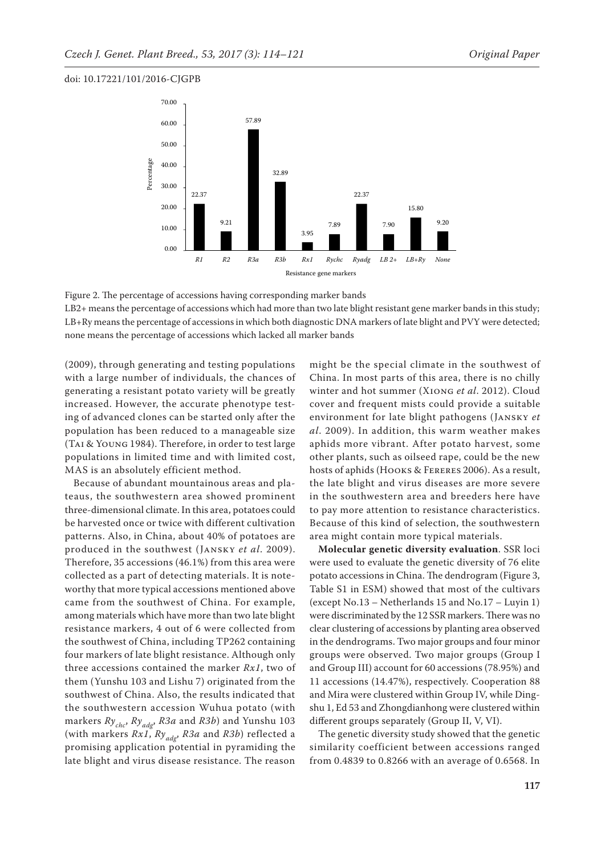

Figure 2. The percentage of accessions having corresponding marker bands LB2+ means the percentage of accessions which had more than two late blight resistant gene marker bands in this study; LB+Ry means the percentage of accessions in which both diagnostic DNA markers of late blight and PVY were detected; none means the percentage of accessions which lacked all marker bands

(2009), through generating and testing populations with a large number of individuals, the chances of generating a resistant potato variety will be greatly increased. However, the accurate phenotype testing of advanced clones can be started only after the population has been reduced to a manageable size (Tai & Young 1984). Therefore, in order to test large populations in limited time and with limited cost, MAS is an absolutely efficient method.

Because of abundant mountainous areas and plateaus, the southwestern area showed prominent three-dimensional climate. In this area, potatoes could be harvested once or twice with different cultivation patterns. Also, in China, about 40% of potatoes are produced in the southwest (Jansky *et al*. 2009). Therefore, 35 accessions (46.1%) from this area were collected as a part of detecting materials. It is noteworthy that more typical accessions mentioned above came from the southwest of China. For example, among materials which have more than two late blight resistance markers, 4 out of 6 were collected from the southwest of China, including TP262 containing four markers of late blight resistance. Although only three accessions contained the marker *Rx1*, two of them (Yunshu 103 and Lishu 7) originated from the southwest of China. Also, the results indicated that the southwestern accession Wuhua potato (with markers *Rychc*, *Ryadg*, *R3a* and *R3b*) and Yunshu 103 (with markers *Rx1*, *Ryadg*, *R3a* and *R3b*) reflected a promising application potential in pyramiding the late blight and virus disease resistance. The reason might be the special climate in the southwest of China. In most parts of this area, there is no chilly winter and hot summer (Xiong *et al*. 2012). Cloud cover and frequent mists could provide a suitable environment for late blight pathogens (Jansky *et al*. 2009). In addition, this warm weather makes aphids more vibrant. After potato harvest, some other plants, such as oilseed rape, could be the new hosts of aphids (Hooks & Fereres 2006). As a result, the late blight and virus diseases are more severe in the southwestern area and breeders here have to pay more attention to resistance characteristics. Because of this kind of selection, the southwestern area might contain more typical materials.

**Molecular genetic diversity evaluation**. SSR loci were used to evaluate the genetic diversity of 76 elite potato accessions in China. The dendrogram (Figure 3, [Table S1](http://www.agriculturejournals.cz/uniqueFiles/218974.pdf) in ESM) showed that most of the cultivars (except No.13 – Netherlands 15 and No.17 – Luyin 1) were discriminated by the 12 SSR markers. There was no clear clustering of accessions by planting area observed in the dendrograms. Two major groups and four minor groups were observed. Two major groups (Group I and Group III) account for 60 accessions (78.95%) and 11 accessions (14.47%), respectively. Cooperation 88 and Mira were clustered within Group IV, while Dingshu 1, Ed 53 and Zhongdianhong were clustered within different groups separately (Group II, V, VI).

The genetic diversity study showed that the genetic similarity coefficient between accessions ranged from 0.4839 to 0.8266 with an average of 0.6568. In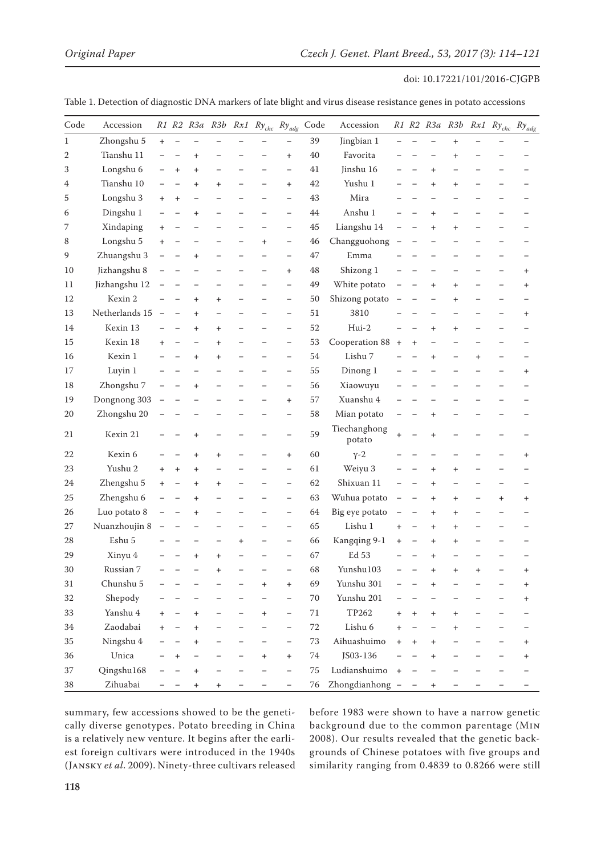| $\mathop{\mathrm{Code}}$ | Accession      |                          |           |           |                          |           | R1 R2 R3a R3b Rx1 Ry <sub>chc</sub> Ry <sub>adg</sub> |                          | Code   | Accession              |                          |           |                                  |           |           | R1 R2 R3a R3b Rx1 Ry <sub>chc</sub> Ry <sub>adg</sub> |           |
|--------------------------|----------------|--------------------------|-----------|-----------|--------------------------|-----------|-------------------------------------------------------|--------------------------|--------|------------------------|--------------------------|-----------|----------------------------------|-----------|-----------|-------------------------------------------------------|-----------|
| 1                        | Zhongshu 5     | $+$                      |           |           |                          |           |                                                       |                          | 39     | Jingbian 1             |                          |           |                                  | $\ddot{}$ |           |                                                       |           |
| 2                        | Tianshu 11     |                          |           | $\ddot{}$ |                          |           |                                                       | $\pmb{+}$                | 40     | Favorita               |                          |           |                                  | $\ddot{}$ |           |                                                       |           |
| 3                        | Longshu 6      |                          | $\ddot{}$ | $\pmb{+}$ |                          |           |                                                       |                          | 41     | Jinshu 16              |                          |           | $\ddot{}$                        |           |           |                                                       |           |
| 4                        | Tianshu 10     |                          |           | $\ddot{}$ | $\ddot{}$                |           |                                                       | $\ddot{}$                | 42     | Yushu 1                |                          |           | $\ddot{}$                        | $\ddot{}$ |           |                                                       |           |
| 5                        | Longshu 3      | $\ddot{}$                | $\ddag$   |           |                          |           |                                                       |                          | 43     | Mira                   |                          |           |                                  |           |           |                                                       |           |
| 6                        | Dingshu 1      |                          |           | $\,^+$    |                          |           |                                                       |                          | 44     | Anshu 1                |                          |           | $\pmb{+}$                        |           |           |                                                       |           |
| 7                        | Xindaping      | $\ddot{}$                |           |           |                          |           |                                                       |                          | 45     | Liangshu 14            |                          |           | $\pmb{+}$                        | $\pmb{+}$ |           |                                                       |           |
| 8                        | Longshu 5      | $\ddot{}$                |           |           |                          |           | $\ddot{}$                                             | -                        | 46     | Changguohong           | $\overline{\phantom{0}}$ |           | -                                |           |           |                                                       |           |
| 9                        | Zhuangshu 3    |                          |           |           |                          |           |                                                       |                          | 47     | Emma                   |                          |           |                                  |           |           |                                                       |           |
| 10                       | Jizhangshu 8   |                          |           |           |                          |           |                                                       | $\pmb{+}$                | 48     | Shizong 1              |                          |           |                                  |           |           |                                                       | $\pmb{+}$ |
| 11                       | Jizhangshu 12  |                          |           |           |                          |           |                                                       | $\overline{\phantom{0}}$ | 49     | White potato           | -                        |           | $\pmb{+}$                        | $\ddot{}$ |           |                                                       | $\pmb{+}$ |
| 12                       | Kexin 2        |                          |           | $\ddot{}$ | $\ddot{}$                |           |                                                       | $\overline{\phantom{0}}$ | 50     | Shizong potato         |                          |           |                                  | $\pmb{+}$ |           |                                                       |           |
| 13                       | Netherlands 15 | $\overline{\phantom{m}}$ |           | $\ddot{}$ |                          |           |                                                       | $\overline{\phantom{0}}$ | 51     | 3810                   |                          |           |                                  |           |           |                                                       | $\pmb{+}$ |
| 14                       | Kexin 13       |                          |           | $\,^+$    | $\ddot{}$                |           |                                                       | -                        | 52     | Hui-2                  |                          |           | $\ddot{}$                        | $\ddot{}$ |           |                                                       |           |
| 15                       | Kexin 18       | $\ddot{}$                |           |           | $\ddot{}$                |           |                                                       |                          | 53     | Cooperation 88         | $^{+}$                   | $\ddot{}$ |                                  |           |           |                                                       |           |
| 16                       | Kexin 1        |                          |           | $\ddot{}$ | $\ddot{}$                |           |                                                       |                          | 54     | Lishu 7                |                          |           | $\ddot{}$                        |           | $\ddot{}$ |                                                       |           |
| 17                       | Luyin 1        |                          |           |           |                          |           |                                                       |                          | 55     | Dinong 1               |                          |           |                                  |           |           |                                                       | $\pmb{+}$ |
| 18                       | Zhongshu 7     |                          |           | $\,^+$    |                          |           |                                                       |                          | 56     | Xiaowuyu               |                          |           |                                  |           |           |                                                       |           |
| 19                       | Dongnong 303   |                          |           |           |                          |           |                                                       | $\ddot{}$                | 57     | Xuanshu 4              |                          |           |                                  |           |           |                                                       |           |
| 20                       | Zhongshu 20    |                          |           |           |                          |           |                                                       |                          | 58     | Mian potato            |                          |           | $\pmb{+}$                        |           |           |                                                       |           |
| 21                       | Kexin 21       |                          |           | $\,^+$    |                          |           |                                                       |                          | 59     | Tiechanghong<br>potato | +                        |           | $\pmb{+}$                        |           |           |                                                       |           |
| 22                       | Kexin 6        |                          |           | +         | $\pmb{+}$                |           |                                                       | $\ddot{}$                | 60     | $Y-2$                  |                          |           |                                  |           |           |                                                       | $\pmb{+}$ |
| 23                       | Yushu 2        | $\ddot{}$                | $\ddot{}$ | $\ddot{}$ |                          |           |                                                       | $\overline{\phantom{0}}$ | 61     | Weiyu 3                |                          |           | $\ddot{}$                        | $\ddot{}$ |           |                                                       |           |
| 24                       | Zhengshu 5     | $+$                      |           | $\pmb{+}$ | $\ddot{}$                |           |                                                       | $\overline{\phantom{0}}$ | 62     | Shixuan 11             |                          |           | $\ddot{}$                        |           |           |                                                       |           |
| 25                       | Zhengshu 6     |                          |           | $\ddot{}$ |                          |           |                                                       | $\overline{\phantom{0}}$ | 63     | Wuhua potato           | $\overline{\phantom{0}}$ |           | $\ddot{}$                        | $\ddot{}$ |           | $\ddot{}$                                             | $\ddot{}$ |
| 26                       | Luo potato 8   |                          |           | +         |                          |           |                                                       |                          | 64     | Big eye potato         |                          |           | $\pmb{+}$                        | +         |           |                                                       |           |
| 27                       | Nuanzhoujin 8  |                          |           |           |                          |           |                                                       |                          | 65     | Lishu 1                | $\ddot{}$                |           | $\pmb{+}$                        | $\ddot{}$ |           |                                                       |           |
| 28                       | Eshu 5         |                          |           |           | $\overline{\phantom{0}}$ | $\pmb{+}$ |                                                       | $\overline{\phantom{0}}$ | 66     | Kangqing 9-1           | $\pmb{+}$                |           | $\pmb{+}$                        | $\ddot{}$ |           |                                                       |           |
| 29                       | Xinyu 4        |                          |           |           | $\ddot{}$                |           |                                                       |                          | 67     | Ed 53                  |                          |           |                                  |           |           |                                                       |           |
| $30\,$                   | Russian 7      | $\overline{\phantom{m}}$ |           |           | $\ddot{}$                |           | -                                                     |                          | 68     | Yunshu103              | -                        |           | $\ddot{}$                        | $\ddot{}$ | $\ddot{}$ |                                                       | $^+$      |
| 31                       | Chunshu 5      |                          |           |           |                          |           | $\ddot{}$                                             | $\ddot{}$                | 69     | Yunshu 301             |                          |           | $\ddot{}$                        |           |           |                                                       | $\ddot{}$ |
| 32                       | Shepody        |                          |           |           |                          |           |                                                       |                          | 70     | Yunshu 201             |                          |           |                                  |           |           |                                                       | $\pmb{+}$ |
| 33                       | Yanshu 4       | $^{+}$                   |           | $\ddot{}$ | -                        |           | $^{+}$                                                | -                        | 71     | TP262                  | $^{+}$                   | $\ddot{}$ | $\ddot{}$                        | $\ddot{}$ |           |                                                       |           |
| 34                       | Zaodabai       |                          |           |           |                          |           |                                                       |                          | $72\,$ | Lishu 6                | $+$                      |           |                                  | $\ddot{}$ |           |                                                       |           |
| 35                       | Ningshu 4      |                          |           | $\,^+$    |                          |           |                                                       |                          | $73\,$ | Aihuashuimo            | $^{+}$                   |           | $\ddot{}$                        |           |           |                                                       | $\ddot{}$ |
| 36                       | Unica          |                          | $\ddot{}$ |           |                          |           | $^{+}$                                                | $\ddot{}$                | $74\,$ | JS03-136               |                          |           | $\ddot{}$                        |           |           |                                                       | $\pmb{+}$ |
| 37                       | Qingshu168     |                          |           | $\ddot{}$ |                          |           |                                                       | $\equiv$                 | 75     | Ludianshuimo           | $+$                      |           |                                  |           |           |                                                       |           |
| 38                       | Zihuabai       |                          |           | $\ddot{}$ | $\ddot{}$                |           |                                                       |                          | 76     | Zhongdianhong -        |                          |           | $\begin{array}{c} + \end{array}$ |           |           |                                                       |           |

Table 1. Detection of diagnostic DNA markers of late blight and virus disease resistance genes in potato accessions

summary, few accessions showed to be the genetically diverse genotypes. Potato breeding in China is a relatively new venture. It begins after the earliest foreign cultivars were introduced in the 1940s (Jansky *et al*. 2009). Ninety-three cultivars released before 1983 were shown to have a narrow genetic background due to the common parentage (Min 2008). Our results revealed that the genetic backgrounds of Chinese potatoes with five groups and similarity ranging from 0.4839 to 0.8266 were still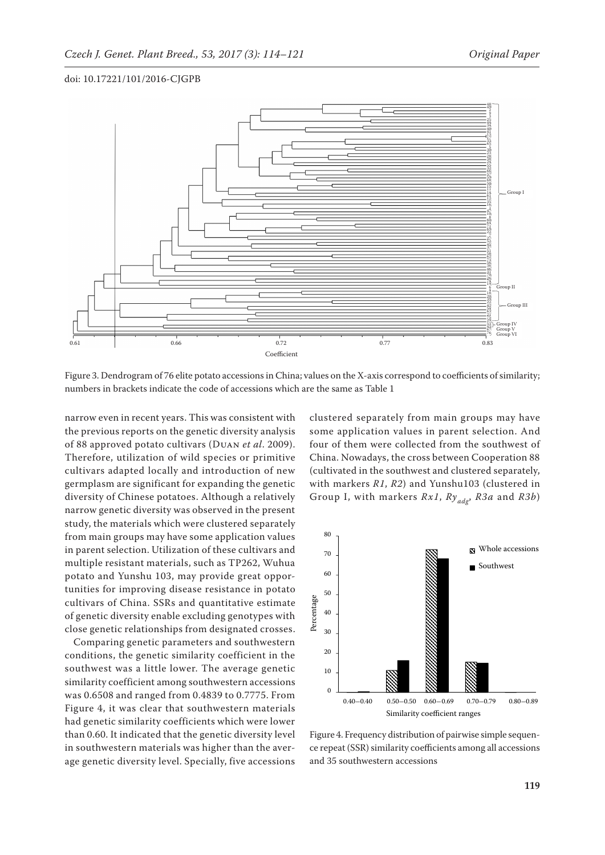

Figure 3. Dendrogram of 76 elite potato accessions in China; values on the X-axis correspond to coefficients of similarity; numbers in brackets indicate the code of accessions which are the same as Table 1

narrow even in recent years. This was consistent with the previous reports on the genetic diversity analysis of 88 approved potato cultivars (Duan *et al*. 2009). Therefore, utilization of wild species or primitive cultivars adapted locally and introduction of new germplasm are significant for expanding the genetic diversity of Chinese potatoes. Although a relatively narrow genetic diversity was observed in the present study, the materials which were clustered separately from main groups may have some application values in parent selection. Utilization of these cultivars and multiple resistant materials, such as TP262, Wuhua potato and Yunshu 103, may provide great opportunities for improving disease resistance in potato cultivars of China. SSRs and quantitative estimate of genetic diversity enable excluding genotypes with close genetic relationships from designated crosses.

Comparing genetic parameters and southwestern conditions, the genetic similarity coefficient in the southwest was a little lower. The average genetic similarity coefficient among southwestern accessions was 0.6508 and ranged from 0.4839 to 0.7775. From Figure 4, it was clear that southwestern materials had genetic similarity coefficients which were lower than 0.60. It indicated that the genetic diversity level in southwestern materials was higher than the average genetic diversity level. Specially, five accessions

clustered separately from main groups may have some application values in parent selection. And four of them were collected from the southwest of China. Nowadays, the cross between Cooperation 88 (cultivated in the southwest and clustered separately, with markers *R1*, *R2*) and Yunshu103 (clustered in Group I, with markers *Rx1*, *Ryadg*, *R3a* and *R3b*)



Figure 4. Frequency distribution of pairwise simple sequence repeat (SSR) similarity coefficients among all accessions and 35 southwestern accessions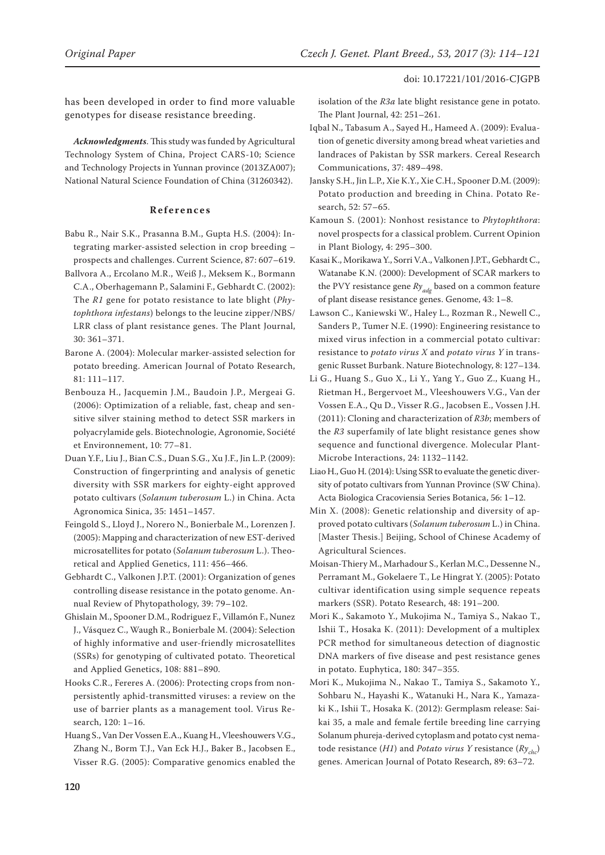has been developed in order to find more valuable genotypes for disease resistance breeding.

*Acknowledgments*. This study was funded by Agricultural Technology System of China, Project CARS-10; Science and Technology Projects in Yunnan province (2013ZA007); National Natural Science Foundation of China (31260342).

#### **References**

- Babu R., Nair S.K., Prasanna B.M., Gupta H.S. (2004): Integrating marker-assisted selection in crop breeding – prospects and challenges. Current Science, 87: 607–619.
- Ballvora A., Ercolano M.R., Weiß J., Meksem K., Bormann C.A., Oberhagemann P., Salamini F., Gebhardt C. (2002): The *R1* gene for potato resistance to late blight (*Phytophthora infestans*) belongs to the leucine zipper/NBS/ LRR class of plant resistance genes. The Plant Journal, 30: 361–371.
- Barone A. (2004): Molecular marker-assisted selection for potato breeding. American Journal of Potato Research, 81: 111–117.
- Benbouza H., Jacquemin J.M., Baudoin J.P., Mergeai G. (2006): Optimization of a reliable, fast, cheap and sensitive silver staining method to detect SSR markers in polyacrylamide gels. Biotechnologie, Agronomie, Société et Environnement, 10: 77–81.
- Duan Y.F., Liu J., Bian C.S., Duan S.G., Xu J.F., Jin L.P. (2009): Construction of fingerprinting and analysis of genetic diversity with SSR markers for eighty-eight approved potato cultivars (*Solanum tuberosum* L.) in China. Acta Agronomica Sinica, 35: 1451–1457.
- Feingold S., Lloyd J., Norero N., Bonierbale M., Lorenzen J. (2005): Mapping and characterization of new EST-derived microsatellites for potato (*Solanum tuberosum* L.). Theoretical and Applied Genetics, 111: 456–466.
- Gebhardt C., Valkonen J.P.T. (2001): Organization of genes controlling disease resistance in the potato genome. Annual Review of Phytopathology, 39: 79–102.
- Ghislain M., Spooner D.M., Rodriguez F., Villamón F., Nunez J., Vásquez C., Waugh R., Bonierbale M. (2004): Selection of highly informative and user-friendly microsatellites (SSRs) for genotyping of cultivated potato. Theoretical and Applied Genetics, 108: 881–890.
- Hooks C.R., Fereres A. (2006): Protecting crops from nonpersistently aphid-transmitted viruses: a review on the use of barrier plants as a management tool. Virus Research, 120: 1–16.
- Huang S., Van Der Vossen E.A., Kuang H., Vleeshouwers V.G., Zhang N., Borm T.J., Van Eck H.J., Baker B., Jacobsen E., Visser R.G. (2005): Comparative genomics enabled the

isolation of the *R3a* late blight resistance gene in potato. The Plant Journal, 42: 251–261.

- Iqbal N., Tabasum A., Sayed H., Hameed A. (2009): Evaluation of genetic diversity among bread wheat varieties and landraces of Pakistan by SSR markers. Cereal Research Communications, 37: 489–498.
- Jansky S.H., Jin L.P., Xie K.Y., Xie C.H., Spooner D.M. (2009): Potato production and breeding in China. Potato Research, 52: 57–65.
- Kamoun S. (2001): Nonhost resistance to *Phytophthora*: novel prospects for a classical problem. Current Opinion in Plant Biology, 4: 295–300.
- Kasai K., Morikawa Y., Sorri V.A., Valkonen J.P.T., Gebhardt C., Watanabe K.N. (2000): Development of SCAR markers to the PVY resistance gene  $Ry_{\text{adv}}$  based on a common feature of plant disease resistance genes. Genome, 43: 1–8.
- Lawson C., Kaniewski W., Haley L., Rozman R., Newell C., Sanders P., Tumer N.E. (1990): Engineering resistance to mixed virus infection in a commercial potato cultivar: resistance to *potato virus X* and *potato virus Y* in transgenic Russet Burbank. Nature Biotechnology, 8: 127–134.
- Li G., Huang S., Guo X., Li Y., Yang Y., Guo Z., Kuang H., Rietman H., Bergervoet M., Vleeshouwers V.G., Van der Vossen E.A., Qu D., Visser R.G., Jacobsen E., Vossen J.H. (2011): Cloning and characterization of *R3b*; members of the *R3* superfamily of late blight resistance genes show sequence and functional divergence. Molecular Plant-Microbe Interactions, 24: 1132–1142.
- Liao H., Guo H. (2014): Using SSR to evaluate the genetic diversity of potato cultivars from Yunnan Province (SW China). Acta Biologica Cracoviensia Series Botanica, 56: 1–12.
- Min X. (2008): Genetic relationship and diversity of approved potato cultivars (*Solanum tuberosum* L.) in China. [Master Thesis.] Beijing, School of Chinese Academy of Agricultural Sciences.
- Moisan-Thiery M., Marhadour S., Kerlan M.C., Dessenne N., Perramant M., Gokelaere T., Le Hingrat Y. (2005): Potato cultivar identification using simple sequence repeats markers (SSR). Potato Research, 48: 191–200.
- Mori K., Sakamoto Y., Mukojima N., Tamiya S., Nakao T., Ishii T., Hosaka K. (2011): Development of a multiplex PCR method for simultaneous detection of diagnostic DNA markers of five disease and pest resistance genes in potato. Euphytica, 180: 347–355.
- Mori K., Mukojima N., Nakao T., Tamiya S., Sakamoto Y., Sohbaru N., Hayashi K., Watanuki H., Nara K., Yamazaki K., Ishii T., Hosaka K. (2012): Germplasm release: Saikai 35, a male and female fertile breeding line carrying Solanum phureja-derived cytoplasm and potato cyst nematode resistance (*H1*) and *Potato virus Y* resistance (*Rychc*) genes. American Journal of Potato Research, 89: 63–72.